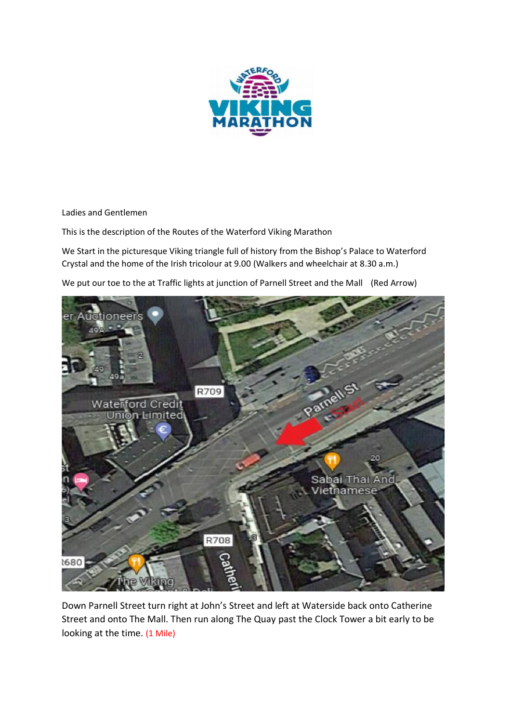

Ladies and Gentlemen

This is the description of the Routes of the Waterford Viking Marathon

We Start in the picturesque Viking triangle full of history from the Bishop's Palace to Waterford Crystal and the home of the Irish tricolour at 9.00 (Walkers and wheelchair at 8.30 a.m.)

We put our toe to the at Traffic lights at junction of Parnell Street and the Mall (Red Arrow)



Down Parnell Street turn right at John's Street and left at Waterside back onto Catherine Street and onto The Mall. Then run along The Quay past the Clock Tower a bit early to be looking at the time. (1 Mile)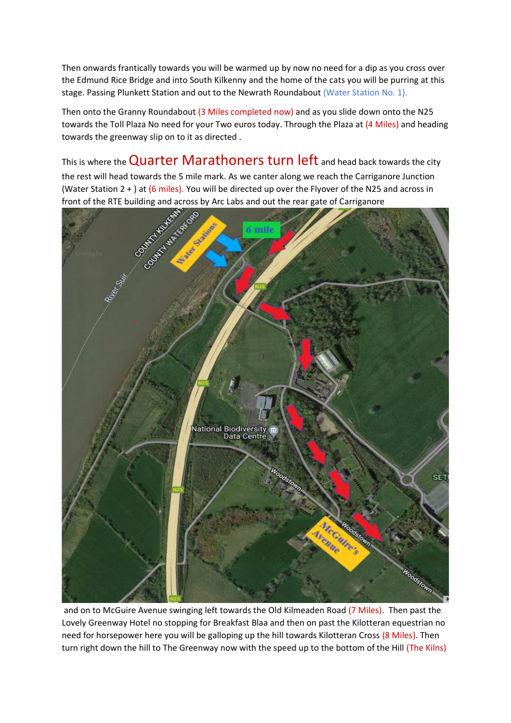Then onwards frantically towards you will be warmed up by now no need for a dip as you cross over the Edmund Rice Bridge and into South Kilkenny and the home of the cats you will be purring at this stage. Passing Plunkett Station and out to the Newrath Roundabout (Water Station No. 1).

Then onto the Granny Roundabout (3 Miles completed now) and as you slide down onto the N25 towards the Toll Plaza No need for your Two euros today. Through the Plaza at (4 Miles) and heading towards the greenway slip on to it as directed .

This is where the **Quarter Marathoners turn left** and head back towards the city the rest will head towards the 5 mile mark. As we canter along we reach the Carriganore Junction (Water Station 2 + ) at (6 miles). You will be directed up over the Flyover of the N25 and across in front of the RTE building and across by Arc Labs and out the rear gate of Carriganore



and on to McGuire Avenue swinging left towards the Old Kilmeaden Road (7 Miles). Then past the Lovely Greenway Hotel no stopping for Breakfast Blaa and then on past the Kilotteran equestrian no need for horsepower here you will be galloping up the hill towards Kilotteran Cross (8 Miles). Then turn right down the hill to The Greenway now with the speed up to the bottom of the Hill (The Kilns)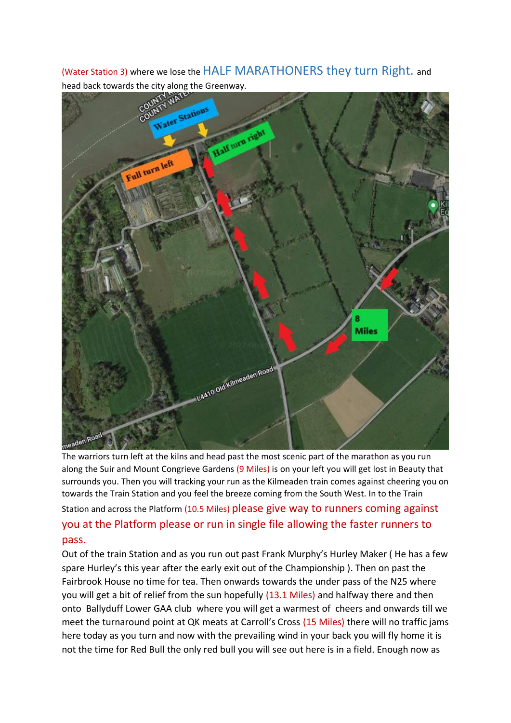(Water Station 3) where we lose the HALF MARATHONERS they turn Right. and head back towards the city along the Greenway.



The warriors turn left at the kilns and head past the most scenic part of the marathon as you run along the Suir and Mount Congrieve Gardens (9 Miles) is on your left you will get lost in Beauty that surrounds you. Then you will tracking your run as the Kilmeaden train comes against cheering you on towards the Train Station and you feel the breeze coming from the South West. In to the Train Station and across the Platform (10.5 Miles) please give way to runners coming against you at the Platform please or run in single file allowing the faster runners to pass.

Out of the train Station and as you run out past Frank Murphy's Hurley Maker ( He has a few spare Hurley's this year after the early exit out of the Championship ). Then on past the Fairbrook House no time for tea. Then onwards towards the under pass of the N25 where you will get a bit of relief from the sun hopefully (13.1 Miles) and halfway there and then onto Ballyduff Lower GAA club where you will get a warmest of cheers and onwards till we meet the turnaround point at QK meats at Carroll's Cross (15 Miles) there will no traffic jams here today as you turn and now with the prevailing wind in your back you will fly home it is not the time for Red Bull the only red bull you will see out here is in a field. Enough now as